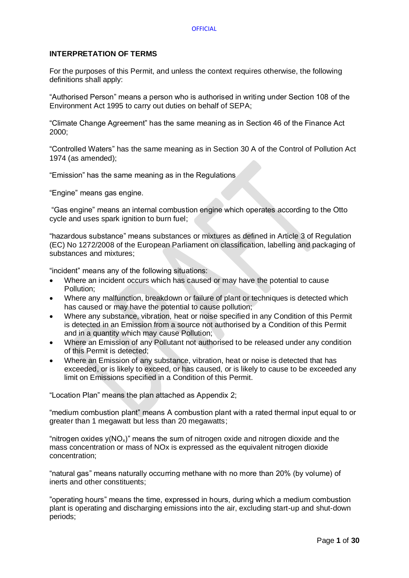### **INTERPRETATION OF TERMS**

For the purposes of this Permit, and unless the context requires otherwise, the following definitions shall apply:

"Authorised Person" means a person who is authorised in writing under Section 108 of the Environment Act 1995 to carry out duties on behalf of SEPA;

"Climate Change Agreement" has the same meaning as in Section 46 of the Finance Act 2000;

"Controlled Waters" has the same meaning as in Section 30 A of the Control of Pollution Act 1974 (as amended);

"Emission" has the same meaning as in the Regulations

"Engine" means gas engine.

"Gas engine" means an internal combustion engine which operates according to the Otto cycle and uses spark ignition to burn fuel:

"hazardous substance" means substances or mixtures as defined in Article 3 of Regulation (EC) No 1272/2008 of the European Parliament on classification, labelling and packaging of substances and mixtures;

"incident" means any of the following situations:

- Where an incident occurs which has caused or may have the potential to cause Pollution;
- Where any malfunction, breakdown or failure of plant or techniques is detected which has caused or may have the potential to cause pollution;
- Where any substance, vibration, heat or noise specified in any Condition of this Permit is detected in an Emission from a source not authorised by a Condition of this Permit and in a quantity which may cause Pollution;
- Where an Emission of any Pollutant not authorised to be released under any condition of this Permit is detected;
- Where an Emission of any substance, vibration, heat or noise is detected that has exceeded, or is likely to exceed, or has caused, or is likely to cause to be exceeded any limit on Emissions specified in a Condition of this Permit.

"Location Plan" means the plan attached as Appendix 2;

"medium combustion plant" means A combustion plant with a rated thermal input equal to or greater than 1 megawatt but less than 20 megawatts;

"nitrogen oxides  $y(NO_x)$ " means the sum of nitrogen oxide and nitrogen dioxide and the mass concentration or mass of NOx is expressed as the equivalent nitrogen dioxide concentration;

"natural gas" means naturally occurring methane with no more than 20% (by volume) of inerts and other constituents;

"operating hours" means the time, expressed in hours, during which a medium combustion plant is operating and discharging emissions into the air, excluding start-up and shut-down periods;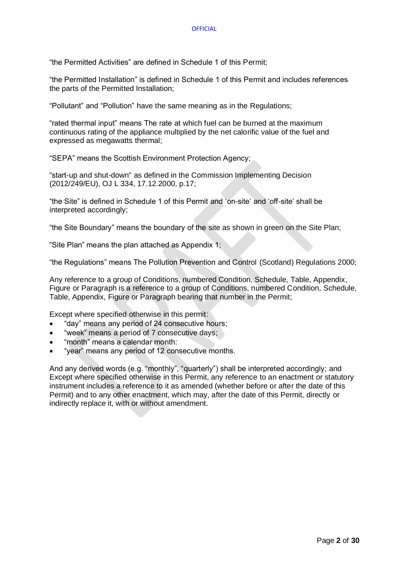"the Permitted Activities" are defined in Schedule 1 of this Permit;

"the Permitted Installation" is defined in Schedule 1 of this Permit and includes references the parts of the Permitted Installation;

"Pollutant" and "Pollution" have the same meaning as in the Regulations;

"rated thermal input" means The rate at which fuel can be burned at the maximum continuous rating of the appliance multiplied by the net calorific value of the fuel and expressed as megawatts thermal;

"SEPA" means the Scottish Environment Protection Agency;

"start-up and shut-down" as defined in the Commission Implementing Decision (2012/249/EU), OJ L 334, 17.12.2000, p.17;

"the Site" is defined in Schedule 1 of this Permit and 'on-site' and 'off-site' shall be interpreted accordingly;

"the Site Boundary" means the boundary of the site as shown in green on the Site Plan;

"Site Plan" means the plan attached as Appendix 1;

"the Regulations" means The Pollution Prevention and Control (Scotland) Regulations 2000;

Any reference to a group of Conditions, numbered Condition, Schedule, Table, Appendix, Figure or Paragraph is a reference to a group of Conditions, numbered Condition, Schedule, Table, Appendix, Figure or Paragraph bearing that number in the Permit;

Except where specified otherwise in this permit:

- "day" means any period of 24 consecutive hours;
- "week" means a period of 7 consecutive days;
- "month" means a calendar month:
- "year" means any period of 12 consecutive months.

And any derived words (e.g. "monthly", "quarterly") shall be interpreted accordingly; and Except where specified otherwise in this Permit, any reference to an enactment or statutory instrument includes a reference to it as amended (whether before or after the date of this Permit) and to any other enactment, which may, after the date of this Permit, directly or indirectly replace it, with or without amendment.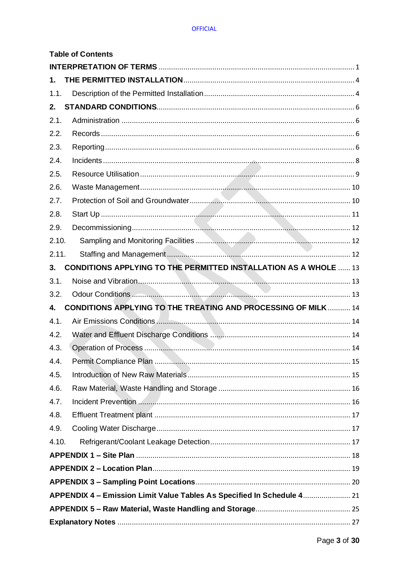### **OFFICIAL**

|       | <b>Table of Contents</b>                                                |
|-------|-------------------------------------------------------------------------|
|       |                                                                         |
| 1.    |                                                                         |
| 1.1.  |                                                                         |
| 2.    |                                                                         |
| 2.1.  |                                                                         |
| 2.2.  |                                                                         |
| 2.3.  |                                                                         |
| 2.4.  |                                                                         |
| 2.5.  |                                                                         |
| 2.6.  |                                                                         |
| 2.7.  |                                                                         |
| 2.8.  |                                                                         |
| 2.9.  |                                                                         |
| 2.10. |                                                                         |
| 2.11. |                                                                         |
| 3.    | <b>CONDITIONS APPLYING TO THE PERMITTED INSTALLATION AS A WHOLE  13</b> |
| 3.1.  |                                                                         |
| 3.2.  |                                                                         |
| 4.    | <b>CONDITIONS APPLYING TO THE TREATING AND PROCESSING OF MILK  14</b>   |
| 4.1.  |                                                                         |
| 4.2.  |                                                                         |
| 4.3.  |                                                                         |
| 4.4.  |                                                                         |
| 4.5.  |                                                                         |
| 4.6.  |                                                                         |
| 4.7.  |                                                                         |
| 4.8.  |                                                                         |
| 4.9.  |                                                                         |
| 4.10. |                                                                         |
|       |                                                                         |
|       |                                                                         |
|       |                                                                         |
|       | APPENDIX 4 - Emission Limit Value Tables As Specified In Schedule 4 21  |
|       |                                                                         |
|       |                                                                         |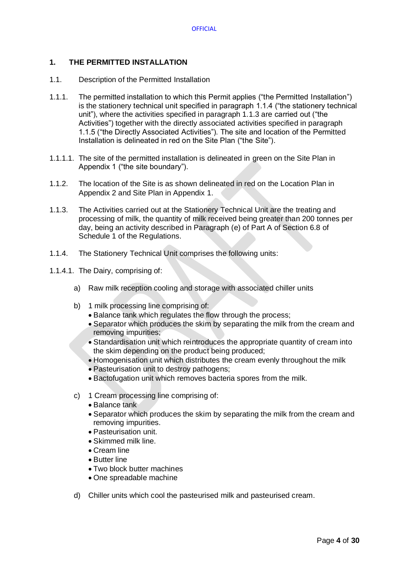### **1. THE PERMITTED INSTALLATION**

- 1.1. Description of the Permitted Installation
- 1.1.1. The permitted installation to which this Permit applies ("the Permitted Installation") is the stationery technical unit specified in paragraph 1.1.4 ("the stationery technical unit"), where the activities specified in paragraph 1.1.3 are carried out ("the Activities") together with the directly associated activities specified in paragraph 1.1.5 ("the Directly Associated Activities"). The site and location of the Permitted Installation is delineated in red on the Site Plan ("the Site").
- 1.1.1.1. The site of the permitted installation is delineated in green on the Site Plan in Appendix 1 ("the site boundary").
- 1.1.2. The location of the Site is as shown delineated in red on the Location Plan in Appendix 2 and Site Plan in Appendix 1.
- 1.1.3. The Activities carried out at the Stationery Technical Unit are the treating and processing of milk, the quantity of milk received being greater than 200 tonnes per day, being an activity described in Paragraph (e) of Part A of Section 6.8 of Schedule 1 of the Regulations.
- 1.1.4. The Stationery Technical Unit comprises the following units:
- 1.1.4.1. The Dairy, comprising of:
	- a) Raw milk reception cooling and storage with associated chiller units
	- b) 1 milk processing line comprising of:
		- Balance tank which regulates the flow through the process;
		- Separator which produces the skim by separating the milk from the cream and removing impurities;
		- Standardisation unit which reintroduces the appropriate quantity of cream into the skim depending on the product being produced;
		- Homogenisation unit which distributes the cream evenly throughout the milk
		- Pasteurisation unit to destroy pathogens;
		- Bactofugation unit which removes bacteria spores from the milk.
	- c) 1 Cream processing line comprising of:
		- Balance tank
		- Separator which produces the skim by separating the milk from the cream and removing impurities.
		- Pasteurisation unit.
		- Skimmed milk line.
		- Cream line
		- Butter line
		- Two block butter machines
		- One spreadable machine
	- d) Chiller units which cool the pasteurised milk and pasteurised cream.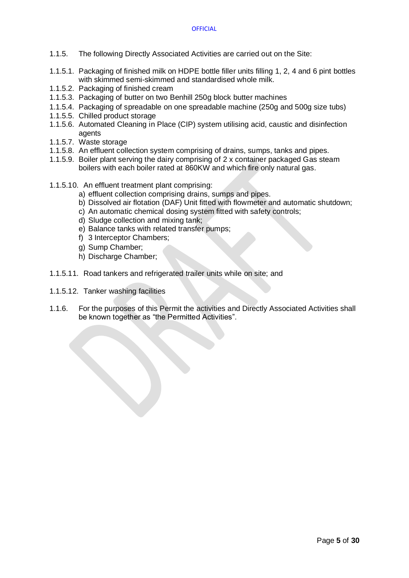- 1.1.5. The following Directly Associated Activities are carried out on the Site:
- 1.1.5.1. Packaging of finished milk on HDPE bottle filler units filling 1, 2, 4 and 6 pint bottles with skimmed semi-skimmed and standardised whole milk.
- 1.1.5.2. Packaging of finished cream
- 1.1.5.3. Packaging of butter on two Benhill 250g block butter machines
- 1.1.5.4. Packaging of spreadable on one spreadable machine (250g and 500g size tubs)
- 1.1.5.5. Chilled product storage
- 1.1.5.6. Automated Cleaning in Place (CIP) system utilising acid, caustic and disinfection agents
- 1.1.5.7. Waste storage
- 1.1.5.8. An effluent collection system comprising of drains, sumps, tanks and pipes.
- 1.1.5.9. Boiler plant serving the dairy comprising of 2 x container packaged Gas steam boilers with each boiler rated at 860KW and which fire only natural gas.
- 1.1.5.10. An effluent treatment plant comprising:
	- a) effluent collection comprising drains, sumps and pipes.
	- b) Dissolved air flotation (DAF) Unit fitted with flowmeter and automatic shutdown;
	- c) An automatic chemical dosing system fitted with safety controls;
	- d) Sludge collection and mixing tank;
	- e) Balance tanks with related transfer pumps;
	- f) 3 Interceptor Chambers;
	- g) Sump Chamber;
	- h) Discharge Chamber;
- 1.1.5.11. Road tankers and refrigerated trailer units while on site; and
- 1.1.5.12. Tanker washing facilities
- 1.1.6. For the purposes of this Permit the activities and Directly Associated Activities shall be known together as "the Permitted Activities".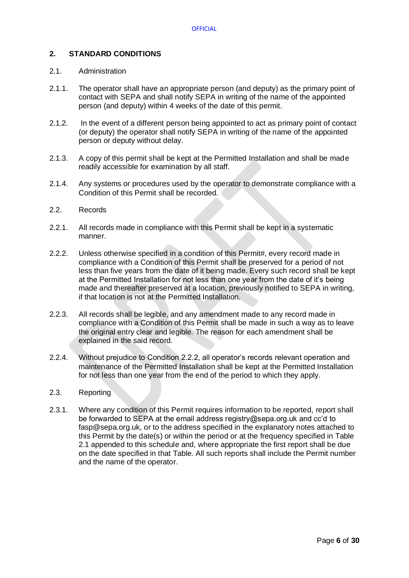### **2. STANDARD CONDITIONS**

### 2.1. Administration

- 2.1.1. The operator shall have an appropriate person (and deputy) as the primary point of contact with SEPA and shall notify SEPA in writing of the name of the appointed person (and deputy) within 4 weeks of the date of this permit.
- 2.1.2. In the event of a different person being appointed to act as primary point of contact (or deputy) the operator shall notify SEPA in writing of the name of the appointed person or deputy without delay.
- 2.1.3. A copy of this permit shall be kept at the Permitted Installation and shall be made readily accessible for examination by all staff.
- 2.1.4. Any systems or procedures used by the operator to demonstrate compliance with a Condition of this Permit shall be recorded.
- 2.2. Records
- 2.2.1. All records made in compliance with this Permit shall be kept in a systematic manner.
- 2.2.2. Unless otherwise specified in a condition of this Permit#, every record made in compliance with a Condition of this Permit shall be preserved for a period of not less than five years from the date of it being made. Every such record shall be kept at the Permitted Installation for not less than one year from the date of it's being made and thereafter preserved at a location, previously notified to SEPA in writing, if that location is not at the Permitted Installation.
- 2.2.3. All records shall be legible, and any amendment made to any record made in compliance with a Condition of this Permit shall be made in such a way as to leave the original entry clear and legible. The reason for each amendment shall be explained in the said record.
- 2.2.4. Without prejudice to Condition 2.2.2, all operator's records relevant operation and maintenance of the Permitted Installation shall be kept at the Permitted Installation for not less than one year from the end of the period to which they apply.

### 2.3. Reporting

2.3.1. Where any condition of this Permit requires information to be reported, report shall be forwarded to SEPA at the email address registry@sepa.org.uk and cc'd to fasp@sepa.org.uk, or to the address specified in the explanatory notes attached to this Permit by the date(s) or within the period or at the frequency specified in Table 2.1 appended to this schedule and, where appropriate the first report shall be due on the date specified in that Table. All such reports shall include the Permit number and the name of the operator.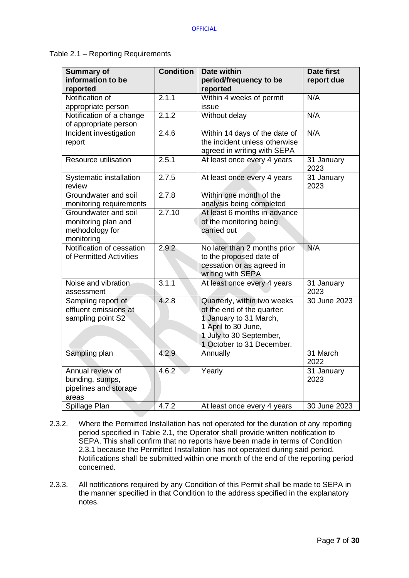### Table 2.1 – Reporting Requirements

| <b>Summary of</b><br>information to be<br>reported                           | <b>Condition</b> | <b>Date within</b><br>period/frequency to be<br>reported                                                                                                           | <b>Date first</b><br>report due |
|------------------------------------------------------------------------------|------------------|--------------------------------------------------------------------------------------------------------------------------------------------------------------------|---------------------------------|
| Notification of<br>appropriate person                                        | 2.1.1            | Within 4 weeks of permit<br>issue                                                                                                                                  | N/A                             |
| Notification of a change<br>of appropriate person                            | 2.1.2            | Without delay                                                                                                                                                      | N/A                             |
| Incident investigation<br>report                                             | 2.4.6            | Within 14 days of the date of<br>the incident unless otherwise<br>agreed in writing with SEPA                                                                      | N/A                             |
| <b>Resource utilisation</b>                                                  | 2.5.1            | At least once every 4 years                                                                                                                                        | 31 January<br>2023              |
| Systematic installation<br>review                                            | 2.7.5            | At least once every 4 years                                                                                                                                        | 31 January<br>2023              |
| Groundwater and soil<br>monitoring requirements                              | 2.7.8            | Within one month of the<br>analysis being completed                                                                                                                |                                 |
| Groundwater and soil<br>monitoring plan and<br>methodology for<br>monitoring | 2.7.10           | At least 6 months in advance<br>of the monitoring being<br>carried out                                                                                             |                                 |
| Notification of cessation<br>of Permitted Activities                         | 2.9.2            | No later than 2 months prior<br>to the proposed date of<br>cessation or as agreed in<br>writing with SEPA                                                          | N/A                             |
| Noise and vibration<br>assessment                                            | 3.1.1            | At least once every 4 years                                                                                                                                        | 31 January<br>2023              |
| Sampling report of<br>effluent emissions at<br>sampling point S2             | 4.2.8            | Quarterly, within two weeks<br>of the end of the quarter:<br>1 January to 31 March,<br>1 April to 30 June,<br>1 July to 30 September,<br>1 October to 31 December. | 30 June 2023                    |
| Sampling plan                                                                | 4.2.9            | Annually                                                                                                                                                           | 31 March<br>2022                |
| Annual review of<br>bunding, sumps,<br>pipelines and storage<br>areas        | 4.6.2            | Yearly                                                                                                                                                             | 31 January<br>2023              |
| Spillage Plan                                                                | 4.7.2            | At least once every 4 years                                                                                                                                        | 30 June 2023                    |

- 2.3.2. Where the Permitted Installation has not operated for the duration of any reporting period specified in Table 2.1, the Operator shall provide written notification to SEPA. This shall confirm that no reports have been made in terms of Condition 2.3.1 because the Permitted Installation has not operated during said period. Notifications shall be submitted within one month of the end of the reporting period concerned.
- 2.3.3. All notifications required by any Condition of this Permit shall be made to SEPA in the manner specified in that Condition to the address specified in the explanatory notes.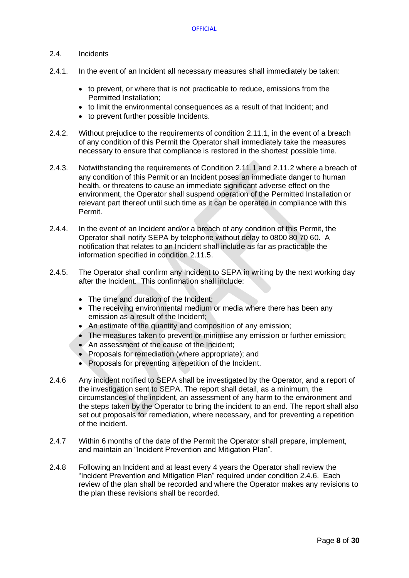### 2.4. Incidents

- 2.4.1. In the event of an Incident all necessary measures shall immediately be taken:
	- to prevent, or where that is not practicable to reduce, emissions from the Permitted Installation;
	- to limit the environmental consequences as a result of that Incident; and
	- to prevent further possible Incidents.
- 2.4.2. Without prejudice to the requirements of condition 2.11.1, in the event of a breach of any condition of this Permit the Operator shall immediately take the measures necessary to ensure that compliance is restored in the shortest possible time.
- 2.4.3. Notwithstanding the requirements of Condition 2.11.1 and 2.11.2 where a breach of any condition of this Permit or an Incident poses an immediate danger to human health, or threatens to cause an immediate significant adverse effect on the environment, the Operator shall suspend operation of the Permitted Installation or relevant part thereof until such time as it can be operated in compliance with this Permit.
- 2.4.4. In the event of an Incident and/or a breach of any condition of this Permit, the Operator shall notify SEPA by telephone without delay to 0800 80 70 60. A notification that relates to an Incident shall include as far as practicable the information specified in condition 2.11.5.
- 2.4.5. The Operator shall confirm any Incident to SEPA in writing by the next working day after the Incident. This confirmation shall include:
	- The time and duration of the Incident;
	- The receiving environmental medium or media where there has been any emission as a result of the Incident;
	- An estimate of the quantity and composition of any emission;
	- The measures taken to prevent or minimise any emission or further emission;
	- An assessment of the cause of the Incident;
	- Proposals for remediation (where appropriate); and
	- Proposals for preventing a repetition of the Incident.
- 2.4.6 Any incident notified to SEPA shall be investigated by the Operator, and a report of the investigation sent to SEPA. The report shall detail, as a minimum, the circumstances of the incident, an assessment of any harm to the environment and the steps taken by the Operator to bring the incident to an end. The report shall also set out proposals for remediation, where necessary, and for preventing a repetition of the incident.
- 2.4.7 Within 6 months of the date of the Permit the Operator shall prepare, implement, and maintain an "Incident Prevention and Mitigation Plan".
- 2.4.8 Following an Incident and at least every 4 years the Operator shall review the "Incident Prevention and Mitigation Plan" required under condition 2.4.6. Each review of the plan shall be recorded and where the Operator makes any revisions to the plan these revisions shall be recorded.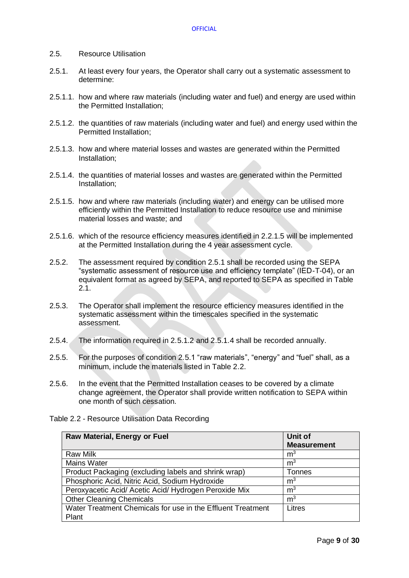### 2.5. Resource Utilisation

- 2.5.1. At least every four years, the Operator shall carry out a systematic assessment to determine:
- 2.5.1.1. how and where raw materials (including water and fuel) and energy are used within the Permitted Installation;
- 2.5.1.2. the quantities of raw materials (including water and fuel) and energy used within the Permitted Installation;
- 2.5.1.3. how and where material losses and wastes are generated within the Permitted Installation;
- 2.5.1.4. the quantities of material losses and wastes are generated within the Permitted Installation;
- 2.5.1.5. how and where raw materials (including water) and energy can be utilised more efficiently within the Permitted Installation to reduce resource use and minimise material losses and waste; and
- 2.5.1.6. which of the resource efficiency measures identified in 2.2.1.5 will be implemented at the Permitted Installation during the 4 year assessment cycle.
- 2.5.2. The assessment required by condition 2.5.1 shall be recorded using the SEPA "systematic assessment of resource use and efficiency template" (IED-T-04), or an equivalent format as agreed by SEPA, and reported to SEPA as specified in Table 2.1.
- 2.5.3. The Operator shall implement the resource efficiency measures identified in the systematic assessment within the timescales specified in the systematic assessment.
- 2.5.4. The information required in 2.5.1.2 and 2.5.1.4 shall be recorded annually.
- 2.5.5. For the purposes of condition 2.5.1 "raw materials", "energy" and "fuel" shall, as a minimum, include the materials listed in Table 2.2.
- 2.5.6. In the event that the Permitted Installation ceases to be covered by a climate change agreement, the Operator shall provide written notification to SEPA within one month of such cessation.

| <b>Raw Material, Energy or Fuel</b>                         | Unit of            |
|-------------------------------------------------------------|--------------------|
|                                                             | <b>Measurement</b> |
| <b>Raw Milk</b>                                             | m <sup>3</sup>     |
| <b>Mains Water</b>                                          | m <sup>3</sup>     |
| Product Packaging (excluding labels and shrink wrap)        | Tonnes             |
| Phosphoric Acid, Nitric Acid, Sodium Hydroxide              | m <sup>3</sup>     |
| Peroxyacetic Acid/ Acetic Acid/ Hydrogen Peroxide Mix       | m <sup>3</sup>     |
| <b>Other Cleaning Chemicals</b>                             | m <sup>3</sup>     |
| Water Treatment Chemicals for use in the Effluent Treatment | Litres             |
| Plant                                                       |                    |

Table 2.2 - Resource Utilisation Data Recording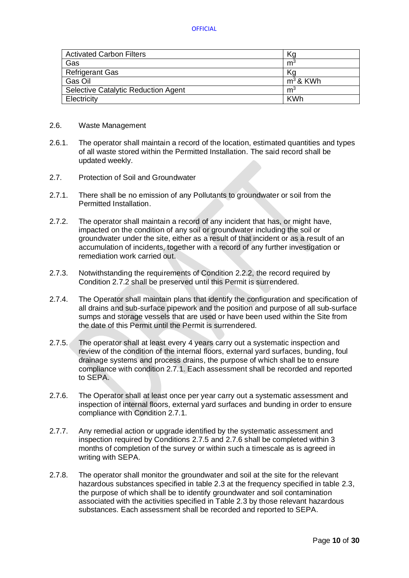| <b>Activated Carbon Filters</b>     | Kg             |
|-------------------------------------|----------------|
| Gas                                 | m <sup>3</sup> |
| <b>Refrigerant Gas</b>              | Ka             |
| Gas Oil                             | $m^3$ & KWh    |
| Selective Catalytic Reduction Agent | m <sup>3</sup> |
| Electricity                         | <b>KWh</b>     |

- 2.6. Waste Management
- 2.6.1. The operator shall maintain a record of the location, estimated quantities and types of all waste stored within the Permitted Installation. The said record shall be updated weekly.
- 2.7. Protection of Soil and Groundwater
- 2.7.1. There shall be no emission of any Pollutants to groundwater or soil from the Permitted Installation.
- 2.7.2. The operator shall maintain a record of any incident that has, or might have, impacted on the condition of any soil or groundwater including the soil or groundwater under the site, either as a result of that incident or as a result of an accumulation of incidents, together with a record of any further investigation or remediation work carried out.
- 2.7.3. Notwithstanding the requirements of Condition 2.2.2, the record required by Condition 2.7.2 shall be preserved until this Permit is surrendered.
- 2.7.4. The Operator shall maintain plans that identify the configuration and specification of all drains and sub-surface pipework and the position and purpose of all sub-surface sumps and storage vessels that are used or have been used within the Site from the date of this Permit until the Permit is surrendered.
- 2.7.5. The operator shall at least every 4 years carry out a systematic inspection and review of the condition of the internal floors, external yard surfaces, bunding, foul drainage systems and process drains, the purpose of which shall be to ensure compliance with condition 2.7.1. Each assessment shall be recorded and reported to SEPA.
- 2.7.6. The Operator shall at least once per year carry out a systematic assessment and inspection of internal floors, external yard surfaces and bunding in order to ensure compliance with Condition 2.7.1.
- 2.7.7. Any remedial action or upgrade identified by the systematic assessment and inspection required by Conditions 2.7.5 and 2.7.6 shall be completed within 3 months of completion of the survey or within such a timescale as is agreed in writing with SEPA.
- 2.7.8. The operator shall monitor the groundwater and soil at the site for the relevant hazardous substances specified in table 2.3 at the frequency specified in table 2.3, the purpose of which shall be to identify groundwater and soil contamination associated with the activities specified in Table 2.3 by those relevant hazardous substances. Each assessment shall be recorded and reported to SEPA.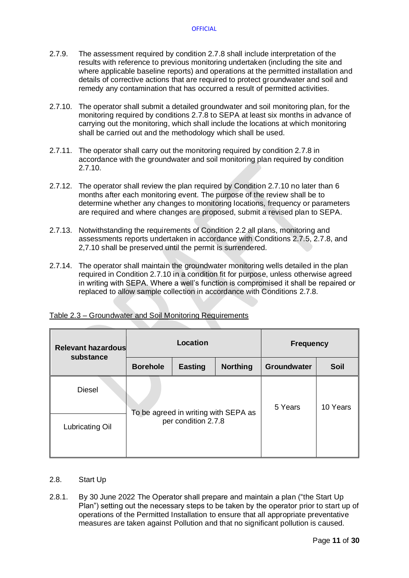- 2.7.9. The assessment required by condition 2.7.8 shall include interpretation of the results with reference to previous monitoring undertaken (including the site and where applicable baseline reports) and operations at the permitted installation and details of corrective actions that are required to protect groundwater and soil and remedy any contamination that has occurred a result of permitted activities.
- 2.7.10. The operator shall submit a detailed groundwater and soil monitoring plan, for the monitoring required by conditions 2.7.8 to SEPA at least six months in advance of carrying out the monitoring, which shall include the locations at which monitoring shall be carried out and the methodology which shall be used.
- 2.7.11. The operator shall carry out the monitoring required by condition 2.7.8 in accordance with the groundwater and soil monitoring plan required by condition 2.7.10.
- 2.7.12. The operator shall review the plan required by Condition 2.7.10 no later than 6 months after each monitoring event. The purpose of the review shall be to determine whether any changes to monitoring locations, frequency or parameters are required and where changes are proposed, submit a revised plan to SEPA.
- 2.7.13. Notwithstanding the requirements of Condition 2.2 all plans, monitoring and assessments reports undertaken in accordance with Conditions 2.7.5, 2.7.8, and 2,7.10 shall be preserved until the permit is surrendered.
- 2.7.14. The operator shall maintain the groundwater monitoring wells detailed in the plan required in Condition 2.7.10 in a condition fit for purpose, unless otherwise agreed in writing with SEPA. Where a well's function is compromised it shall be repaired or replaced to allow sample collection in accordance with Conditions 2.7.8.

| <b>Relevant hazardous</b><br>substance |                 | Location                                                    | <b>Frequency</b> |                    |             |
|----------------------------------------|-----------------|-------------------------------------------------------------|------------------|--------------------|-------------|
|                                        | <b>Borehole</b> | <b>Easting</b>                                              | <b>Northing</b>  | <b>Groundwater</b> | <b>Soil</b> |
| <b>Diesel</b><br>Lubricating Oil       |                 | To be agreed in writing with SEPA as<br>per condition 2.7.8 |                  |                    | 10 Years    |

# Table 2.3 – Groundwater and Soil Monitoring Requirements

- 2.8. Start Up
- 2.8.1. By 30 June 2022 The Operator shall prepare and maintain a plan ("the Start Up Plan") setting out the necessary steps to be taken by the operator prior to start up of operations of the Permitted Installation to ensure that all appropriate preventative measures are taken against Pollution and that no significant pollution is caused.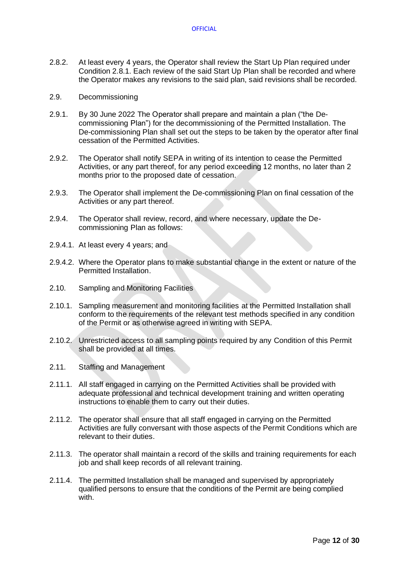- 2.8.2. At least every 4 years, the Operator shall review the Start Up Plan required under Condition 2.8.1. Each review of the said Start Up Plan shall be recorded and where the Operator makes any revisions to the said plan, said revisions shall be recorded.
- 2.9. Decommissioning
- 2.9.1. By 30 June 2022 The Operator shall prepare and maintain a plan ("the Decommissioning Plan") for the decommissioning of the Permitted Installation. The De-commissioning Plan shall set out the steps to be taken by the operator after final cessation of the Permitted Activities.
- 2.9.2. The Operator shall notify SEPA in writing of its intention to cease the Permitted Activities, or any part thereof, for any period exceeding 12 months, no later than 2 months prior to the proposed date of cessation.
- 2.9.3. The Operator shall implement the De-commissioning Plan on final cessation of the Activities or any part thereof.
- 2.9.4. The Operator shall review, record, and where necessary, update the Decommissioning Plan as follows:
- 2.9.4.1. At least every 4 years; and
- 2.9.4.2. Where the Operator plans to make substantial change in the extent or nature of the Permitted Installation.
- 2.10. Sampling and Monitoring Facilities
- 2.10.1. Sampling measurement and monitoring facilities at the Permitted Installation shall conform to the requirements of the relevant test methods specified in any condition of the Permit or as otherwise agreed in writing with SEPA.
- 2.10.2. Unrestricted access to all sampling points required by any Condition of this Permit shall be provided at all times.
- 2.11. Staffing and Management
- 2.11.1. All staff engaged in carrying on the Permitted Activities shall be provided with adequate professional and technical development training and written operating instructions to enable them to carry out their duties.
- 2.11.2. The operator shall ensure that all staff engaged in carrying on the Permitted Activities are fully conversant with those aspects of the Permit Conditions which are relevant to their duties.
- 2.11.3. The operator shall maintain a record of the skills and training requirements for each job and shall keep records of all relevant training.
- 2.11.4. The permitted Installation shall be managed and supervised by appropriately qualified persons to ensure that the conditions of the Permit are being complied with.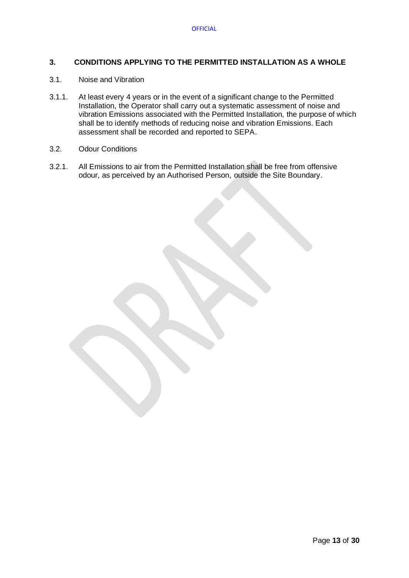## **3. CONDITIONS APPLYING TO THE PERMITTED INSTALLATION AS A WHOLE**

- 3.1. Noise and Vibration
- 3.1.1. At least every 4 years or in the event of a significant change to the Permitted Installation, the Operator shall carry out a systematic assessment of noise and vibration Emissions associated with the Permitted Installation, the purpose of which shall be to identify methods of reducing noise and vibration Emissions. Each assessment shall be recorded and reported to SEPA.
- 3.2. Odour Conditions
- 3.2.1. All Emissions to air from the Permitted Installation shall be free from offensive odour, as perceived by an Authorised Person, outside the Site Boundary.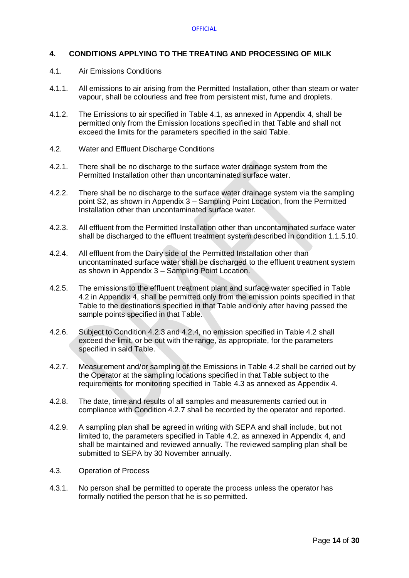### **4. CONDITIONS APPLYING TO THE TREATING AND PROCESSING OF MILK**

#### 4.1. Air Emissions Conditions

- 4.1.1. All emissions to air arising from the Permitted Installation, other than steam or water vapour, shall be colourless and free from persistent mist, fume and droplets.
- 4.1.2. The Emissions to air specified in Table 4.1, as annexed in Appendix 4, shall be permitted only from the Emission locations specified in that Table and shall not exceed the limits for the parameters specified in the said Table.
- 4.2. Water and Effluent Discharge Conditions
- 4.2.1. There shall be no discharge to the surface water drainage system from the Permitted Installation other than uncontaminated surface water.
- 4.2.2. There shall be no discharge to the surface water drainage system via the sampling point S2, as shown in Appendix 3 – Sampling Point Location, from the Permitted Installation other than uncontaminated surface water.
- 4.2.3. All effluent from the Permitted Installation other than uncontaminated surface water shall be discharged to the effluent treatment system described in condition 1.1.5.10.
- 4.2.4. All effluent from the Dairy side of the Permitted Installation other than uncontaminated surface water shall be discharged to the effluent treatment system as shown in Appendix 3 – Sampling Point Location.
- 4.2.5. The emissions to the effluent treatment plant and surface water specified in Table 4.2 in Appendix 4, shall be permitted only from the emission points specified in that Table to the destinations specified in that Table and only after having passed the sample points specified in that Table.
- 4.2.6. Subject to Condition 4.2.3 and 4.2.4, no emission specified in Table 4.2 shall exceed the limit, or be out with the range, as appropriate, for the parameters specified in said Table.
- 4.2.7. Measurement and/or sampling of the Emissions in Table 4.2 shall be carried out by the Operator at the sampling locations specified in that Table subject to the requirements for monitoring specified in Table 4.3 as annexed as Appendix 4.
- 4.2.8. The date, time and results of all samples and measurements carried out in compliance with Condition 4.2.7 shall be recorded by the operator and reported.
- 4.2.9. A sampling plan shall be agreed in writing with SEPA and shall include, but not limited to, the parameters specified in Table 4.2, as annexed in Appendix 4, and shall be maintained and reviewed annually. The reviewed sampling plan shall be submitted to SEPA by 30 November annually.
- 4.3. Operation of Process
- 4.3.1. No person shall be permitted to operate the process unless the operator has formally notified the person that he is so permitted.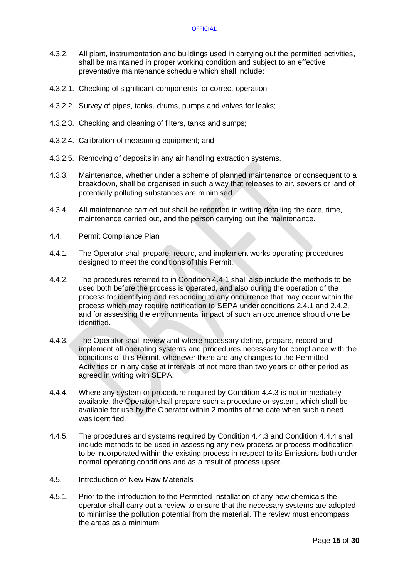- 4.3.2. All plant, instrumentation and buildings used in carrying out the permitted activities, shall be maintained in proper working condition and subject to an effective preventative maintenance schedule which shall include:
- 4.3.2.1. Checking of significant components for correct operation;
- 4.3.2.2. Survey of pipes, tanks, drums, pumps and valves for leaks;
- 4.3.2.3. Checking and cleaning of filters, tanks and sumps;
- 4.3.2.4. Calibration of measuring equipment; and
- 4.3.2.5. Removing of deposits in any air handling extraction systems.
- 4.3.3. Maintenance, whether under a scheme of planned maintenance or consequent to a breakdown, shall be organised in such a way that releases to air, sewers or land of potentially polluting substances are minimised.
- 4.3.4. All maintenance carried out shall be recorded in writing detailing the date, time, maintenance carried out, and the person carrying out the maintenance.
- 4.4. Permit Compliance Plan
- 4.4.1. The Operator shall prepare, record, and implement works operating procedures designed to meet the conditions of this Permit.
- 4.4.2. The procedures referred to in Condition 4.4.1 shall also include the methods to be used both before the process is operated, and also during the operation of the process for identifying and responding to any occurrence that may occur within the process which may require notification to SEPA under conditions 2.4.1 and 2.4.2, and for assessing the environmental impact of such an occurrence should one be identified.
- 4.4.3. The Operator shall review and where necessary define, prepare, record and implement all operating systems and procedures necessary for compliance with the conditions of this Permit, whenever there are any changes to the Permitted Activities or in any case at intervals of not more than two years or other period as agreed in writing with SEPA.
- 4.4.4. Where any system or procedure required by Condition 4.4.3 is not immediately available, the Operator shall prepare such a procedure or system, which shall be available for use by the Operator within 2 months of the date when such a need was identified.
- 4.4.5. The procedures and systems required by Condition 4.4.3 and Condition 4.4.4 shall include methods to be used in assessing any new process or process modification to be incorporated within the existing process in respect to its Emissions both under normal operating conditions and as a result of process upset.
- 4.5. Introduction of New Raw Materials
- 4.5.1. Prior to the introduction to the Permitted Installation of any new chemicals the operator shall carry out a review to ensure that the necessary systems are adopted to minimise the pollution potential from the material. The review must encompass the areas as a minimum.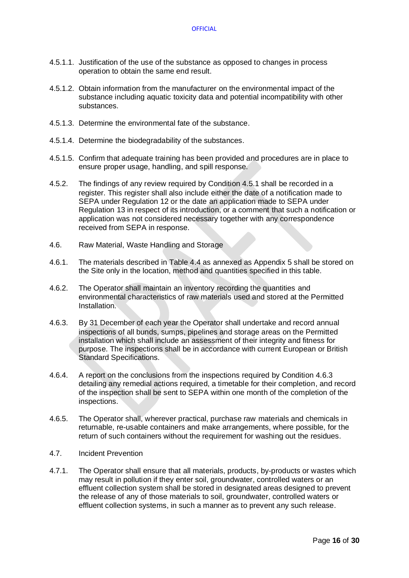- 4.5.1.1. Justification of the use of the substance as opposed to changes in process operation to obtain the same end result.
- 4.5.1.2. Obtain information from the manufacturer on the environmental impact of the substance including aquatic toxicity data and potential incompatibility with other substances.
- 4.5.1.3. Determine the environmental fate of the substance.
- 4.5.1.4. Determine the biodegradability of the substances.
- 4.5.1.5. Confirm that adequate training has been provided and procedures are in place to ensure proper usage, handling, and spill response.
- 4.5.2. The findings of any review required by Condition 4.5.1 shall be recorded in a register. This register shall also include either the date of a notification made to SEPA under Regulation 12 or the date an application made to SEPA under Regulation 13 in respect of its introduction, or a comment that such a notification or application was not considered necessary together with any correspondence received from SEPA in response.
- 4.6. Raw Material, Waste Handling and Storage
- 4.6.1. The materials described in Table 4.4 as annexed as Appendix 5 shall be stored on the Site only in the location, method and quantities specified in this table.
- 4.6.2. The Operator shall maintain an inventory recording the quantities and environmental characteristics of raw materials used and stored at the Permitted **Installation**
- 4.6.3. By 31 December of each year the Operator shall undertake and record annual inspections of all bunds, sumps, pipelines and storage areas on the Permitted installation which shall include an assessment of their integrity and fitness for purpose. The inspections shall be in accordance with current European or British Standard Specifications.
- 4.6.4. A report on the conclusions from the inspections required by Condition 4.6.3 detailing any remedial actions required, a timetable for their completion, and record of the inspection shall be sent to SEPA within one month of the completion of the inspections.
- 4.6.5. The Operator shall, wherever practical, purchase raw materials and chemicals in returnable, re-usable containers and make arrangements, where possible, for the return of such containers without the requirement for washing out the residues.
- 4.7. Incident Prevention
- 4.7.1. The Operator shall ensure that all materials, products, by-products or wastes which may result in pollution if they enter soil, groundwater, controlled waters or an effluent collection system shall be stored in designated areas designed to prevent the release of any of those materials to soil, groundwater, controlled waters or effluent collection systems, in such a manner as to prevent any such release.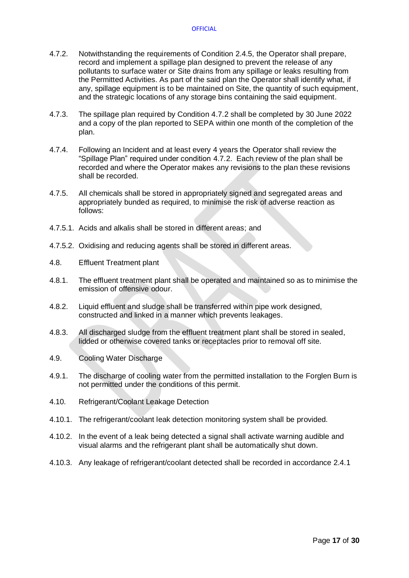- 4.7.2. Notwithstanding the requirements of Condition 2.4.5, the Operator shall prepare, record and implement a spillage plan designed to prevent the release of any pollutants to surface water or Site drains from any spillage or leaks resulting from the Permitted Activities. As part of the said plan the Operator shall identify what, if any, spillage equipment is to be maintained on Site, the quantity of such equipment, and the strategic locations of any storage bins containing the said equipment.
- 4.7.3. The spillage plan required by Condition 4.7.2 shall be completed by 30 June 2022 and a copy of the plan reported to SEPA within one month of the completion of the plan.
- 4.7.4. Following an Incident and at least every 4 years the Operator shall review the "Spillage Plan" required under condition 4.7.2. Each review of the plan shall be recorded and where the Operator makes any revisions to the plan these revisions shall be recorded.
- 4.7.5. All chemicals shall be stored in appropriately signed and segregated areas and appropriately bunded as required, to minimise the risk of adverse reaction as follows:
- 4.7.5.1. Acids and alkalis shall be stored in different areas; and
- 4.7.5.2. Oxidising and reducing agents shall be stored in different areas.
- 4.8. Effluent Treatment plant
- 4.8.1. The effluent treatment plant shall be operated and maintained so as to minimise the emission of offensive odour.
- 4.8.2. Liquid effluent and sludge shall be transferred within pipe work designed, constructed and linked in a manner which prevents leakages.
- 4.8.3. All discharged sludge from the effluent treatment plant shall be stored in sealed, lidded or otherwise covered tanks or receptacles prior to removal off site.
- 4.9. Cooling Water Discharge
- 4.9.1. The discharge of cooling water from the permitted installation to the Forglen Burn is not permitted under the conditions of this permit.
- 4.10. Refrigerant/Coolant Leakage Detection
- 4.10.1. The refrigerant/coolant leak detection monitoring system shall be provided.
- 4.10.2. In the event of a leak being detected a signal shall activate warning audible and visual alarms and the refrigerant plant shall be automatically shut down.
- 4.10.3. Any leakage of refrigerant/coolant detected shall be recorded in accordance 2.4.1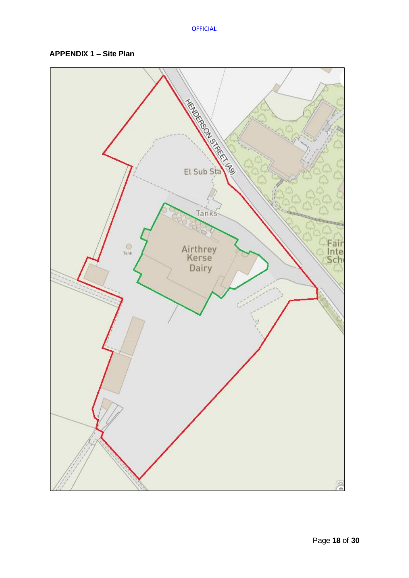# **APPENDIX 1 – Site Plan**

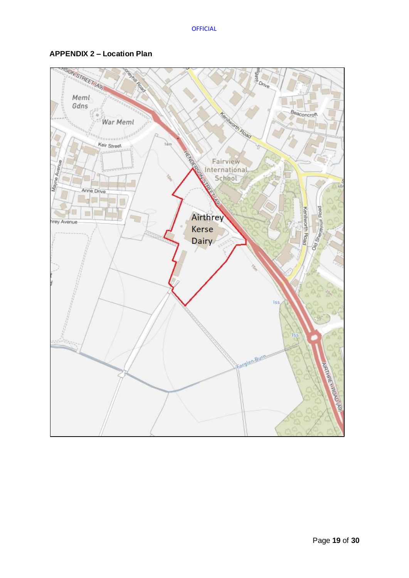

# **APPENDIX 2 – Location Plan**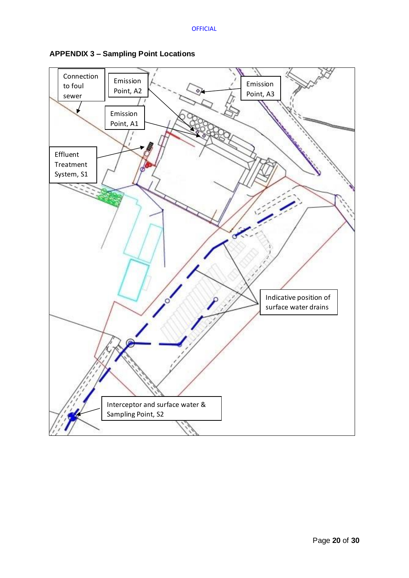

# **APPENDIX 3 – Sampling Point Locations**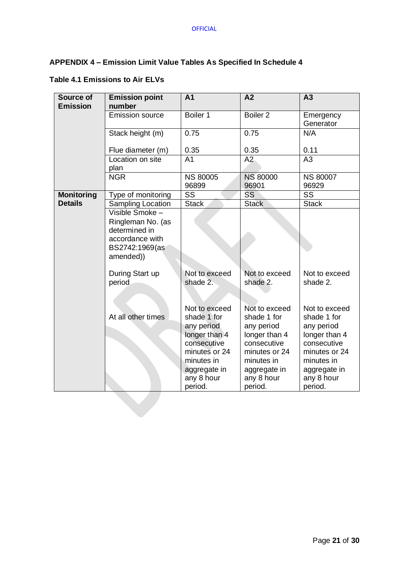# **APPENDIX 4 – Emission Limit Value Tables As Specified In Schedule 4**

# **Table 4.1 Emissions to Air ELVs**

| Source of<br><b>Emission</b> | <b>Emission point</b><br>number                                                                         | A <sub>1</sub>                                                                                                                                     | A <sub>2</sub>                                                                                                                                     | A3                                                                                                                                                 |
|------------------------------|---------------------------------------------------------------------------------------------------------|----------------------------------------------------------------------------------------------------------------------------------------------------|----------------------------------------------------------------------------------------------------------------------------------------------------|----------------------------------------------------------------------------------------------------------------------------------------------------|
|                              | <b>Emission source</b>                                                                                  | Boiler 1                                                                                                                                           | Boiler <sub>2</sub>                                                                                                                                | Emergency<br>Generator                                                                                                                             |
|                              | Stack height (m)                                                                                        | 0.75                                                                                                                                               | 0.75                                                                                                                                               | N/A                                                                                                                                                |
|                              | Flue diameter (m)                                                                                       | 0.35                                                                                                                                               | 0.35                                                                                                                                               | 0.11                                                                                                                                               |
|                              | Location on site<br>plan                                                                                | A <sub>1</sub>                                                                                                                                     | A2                                                                                                                                                 | A3                                                                                                                                                 |
|                              | <b>NGR</b>                                                                                              | <b>NS 80005</b><br>96899                                                                                                                           | <b>NS 80000</b><br>96901                                                                                                                           | <b>NS 80007</b><br>96929                                                                                                                           |
| <b>Monitoring</b>            | Type of monitoring                                                                                      | $\overline{\text{SS}}$                                                                                                                             | $\overline{\text{SS}}$                                                                                                                             | $\overline{\text{SS}}$                                                                                                                             |
| <b>Details</b>               | Sampling Location                                                                                       | <b>Stack</b>                                                                                                                                       | <b>Stack</b>                                                                                                                                       | <b>Stack</b>                                                                                                                                       |
|                              | Visible Smoke -<br>Ringleman No. (as<br>determined in<br>accordance with<br>BS2742:1969(as<br>amended)) |                                                                                                                                                    |                                                                                                                                                    |                                                                                                                                                    |
|                              | During Start up<br>period                                                                               | Not to exceed<br>shade 2.                                                                                                                          | Not to exceed<br>shade 2.                                                                                                                          | Not to exceed<br>shade 2.                                                                                                                          |
|                              | At all other times                                                                                      | Not to exceed<br>shade 1 for<br>any period<br>longer than 4<br>consecutive<br>minutes or 24<br>minutes in<br>aggregate in<br>any 8 hour<br>period. | Not to exceed<br>shade 1 for<br>any period<br>longer than 4<br>consecutive<br>minutes or 24<br>minutes in<br>aggregate in<br>any 8 hour<br>period. | Not to exceed<br>shade 1 for<br>any period<br>longer than 4<br>consecutive<br>minutes or 24<br>minutes in<br>aggregate in<br>any 8 hour<br>period. |
|                              |                                                                                                         |                                                                                                                                                    |                                                                                                                                                    |                                                                                                                                                    |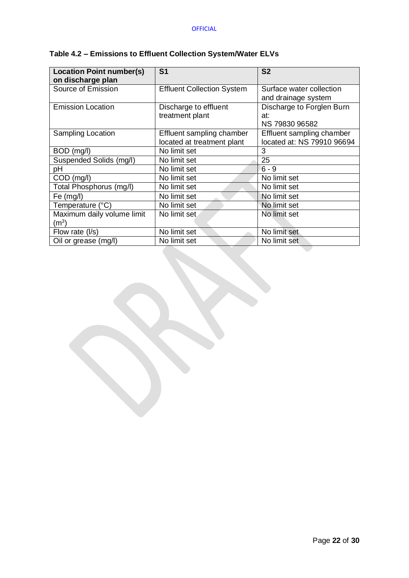| <b>Location Point number(s)</b><br>on discharge plan | S <sub>1</sub>                    | S <sub>2</sub>             |
|------------------------------------------------------|-----------------------------------|----------------------------|
| Source of Emission                                   | <b>Effluent Collection System</b> | Surface water collection   |
|                                                      |                                   | and drainage system        |
| <b>Emission Location</b>                             | Discharge to effluent             | Discharge to Forglen Burn  |
|                                                      | treatment plant                   | at:                        |
|                                                      |                                   | NS 79830 96582             |
| <b>Sampling Location</b>                             | Effluent sampling chamber         | Effluent sampling chamber  |
|                                                      | located at treatment plant        | located at: NS 79910 96694 |
| BOD (mg/l)                                           | No limit set                      | 3                          |
| Suspended Solids (mg/l)                              | No limit set                      | 25                         |
| pH                                                   | No limit set                      | $6 - 9$                    |
| COD (mg/l)                                           | No limit set                      | No limit set               |
| Total Phosphorus (mg/l)                              | No limit set                      | No limit set               |
| Fe (mg/l)                                            | No limit set                      | No limit set               |
| Temperature (°C)                                     | No limit set                      | No limit set               |
| Maximum daily volume limit                           | No limit set                      | No limit set               |
| $\mathsf{(m^3)}$                                     |                                   |                            |
| Flow rate $(1/s)$                                    | No limit set                      | No limit set               |
| Oil or grease (mg/l)                                 | No limit set                      | No limit set               |

# **Table 4.2 – Emissions to Effluent Collection System/Water ELVs**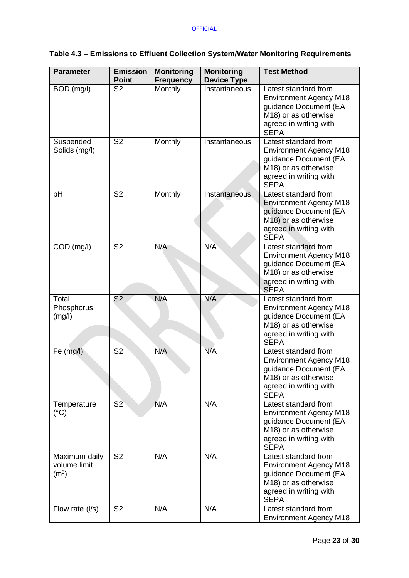# **Table 4.3 – Emissions to Effluent Collection System/Water Monitoring Requirements**

| <b>Parameter</b>                                   | <b>Emission</b><br><b>Point</b> | <b>Monitoring</b><br><b>Frequency</b> | <b>Monitoring</b><br><b>Device Type</b> | <b>Test Method</b>                                                                                                                              |
|----------------------------------------------------|---------------------------------|---------------------------------------|-----------------------------------------|-------------------------------------------------------------------------------------------------------------------------------------------------|
| BOD (mg/l)                                         | $\overline{\mathsf{S2}}$        | <b>Monthly</b>                        | Instantaneous                           | Latest standard from<br><b>Environment Agency M18</b><br>guidance Document (EA<br>M18) or as otherwise<br>agreed in writing with<br><b>SEPA</b> |
| Suspended<br>Solids (mg/l)                         | $\overline{\mathsf{S2}}$        | Monthly                               | Instantaneous                           | Latest standard from<br><b>Environment Agency M18</b><br>guidance Document (EA<br>M18) or as otherwise<br>agreed in writing with<br><b>SEPA</b> |
| pH                                                 | S <sub>2</sub>                  | Monthly                               | Instantaneous                           | Latest standard from<br><b>Environment Agency M18</b><br>guidance Document (EA<br>M18) or as otherwise<br>agreed in writing with<br><b>SEPA</b> |
| COD (mg/l)                                         | S <sub>2</sub>                  | N/A                                   | N/A                                     | Latest standard from<br><b>Environment Agency M18</b><br>guidance Document (EA<br>M18) or as otherwise<br>agreed in writing with<br><b>SEPA</b> |
| <b>Total</b><br>Phosphorus<br>(mg/l)               | S <sub>2</sub>                  | N/A                                   | N/A                                     | Latest standard from<br><b>Environment Agency M18</b><br>guidance Document (EA<br>M18) or as otherwise<br>agreed in writing with<br><b>SEPA</b> |
| Fe (mg/l)                                          | S <sub>2</sub>                  | N/A                                   | N/A                                     | Latest standard from<br><b>Environment Agency M18</b><br>guidance Document (EA<br>M18) or as otherwise<br>agreed in writing with<br><b>SEPA</b> |
| Temperature<br>$(^{\circ}C)$                       | S <sub>2</sub>                  | N/A                                   | N/A                                     | Latest standard from<br><b>Environment Agency M18</b><br>guidance Document (EA<br>M18) or as otherwise<br>agreed in writing with<br><b>SEPA</b> |
| Maximum daily<br>volume limit<br>(m <sup>3</sup> ) | S <sub>2</sub>                  | N/A                                   | N/A                                     | Latest standard from<br><b>Environment Agency M18</b><br>guidance Document (EA<br>M18) or as otherwise<br>agreed in writing with<br><b>SEPA</b> |
| Flow rate (I/s)                                    | S <sub>2</sub>                  | N/A                                   | N/A                                     | Latest standard from<br><b>Environment Agency M18</b>                                                                                           |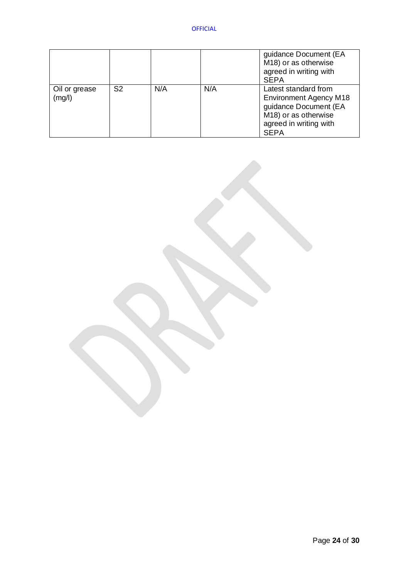|                         |                |     |     | guidance Document (EA<br>M18) or as otherwise<br>agreed in writing with<br><b>SEPA</b>                                                          |
|-------------------------|----------------|-----|-----|-------------------------------------------------------------------------------------------------------------------------------------------------|
| Oil or grease<br>(mg/l) | S <sub>2</sub> | N/A | N/A | Latest standard from<br><b>Environment Agency M18</b><br>guidance Document (EA<br>M18) or as otherwise<br>agreed in writing with<br><b>SEPA</b> |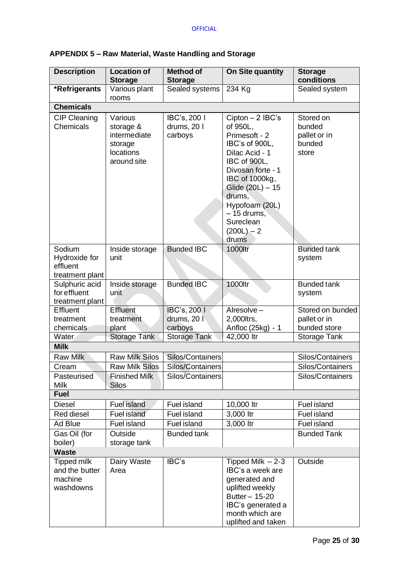| APPENDIX 5 - Raw Material, Waste Handling and Storage |
|-------------------------------------------------------|
|-------------------------------------------------------|

| <b>Description</b>                                     | <b>Location of</b><br><b>Storage</b>                                        | <b>Method of</b><br><b>Storage</b>     | On Site quantity                                                                                                                                                                                                                                 | <b>Storage</b><br>conditions                           |
|--------------------------------------------------------|-----------------------------------------------------------------------------|----------------------------------------|--------------------------------------------------------------------------------------------------------------------------------------------------------------------------------------------------------------------------------------------------|--------------------------------------------------------|
| *Refrigerants                                          | Various plant<br>rooms                                                      | Sealed systems                         | 234 Kg                                                                                                                                                                                                                                           | Sealed system                                          |
| <b>Chemicals</b>                                       |                                                                             |                                        |                                                                                                                                                                                                                                                  |                                                        |
| <b>CIP Cleaning</b><br>Chemicals                       | Various<br>storage &<br>intermediate<br>storage<br>locations<br>around site | IBC's, 200 I<br>drums, 20 l<br>carboys | $Cipton - 2$ IBC's<br>of 950L,<br>Primesoft - 2<br>IBC's of 900L,<br>Dilac Acid - 1<br>IBC of 900L,<br>Divosan forte - 1<br>IBC of 1000kg,<br>Glide (20L) - 15<br>drums,<br>Hypofoam (20L)<br>$-15$ drums,<br>Sureclean<br>$(200L) - 2$<br>drums | Stored on<br>bunded<br>pallet or in<br>bunded<br>store |
| Sodium<br>Hydroxide for<br>effluent<br>treatment plant | Inside storage<br>unit                                                      | <b>Bunded IBC</b>                      | 1000ltr                                                                                                                                                                                                                                          | <b>Bunded tank</b><br>system                           |
| Sulphuric acid<br>for effluent<br>treatment plant      | Inside storage<br>unit                                                      | <b>Bunded IBC</b>                      | 1000ltr                                                                                                                                                                                                                                          | <b>Bunded tank</b><br>system                           |
| Effluent<br>treatment<br>chemicals                     | Effluent<br>treatment                                                       | IBC's, 200 I<br>drums, 20 l            | Alresolve-<br>2,000ltrs,                                                                                                                                                                                                                         | Stored on bunded<br>pallet or in<br>bunded store       |
| Water                                                  | plant<br><b>Storage Tank</b>                                                | carboys<br><b>Storage Tank</b>         | Anfloc (25kg) - 1<br>42,000 ltr                                                                                                                                                                                                                  | Storage Tank                                           |
| <b>Milk</b>                                            |                                                                             |                                        |                                                                                                                                                                                                                                                  |                                                        |
| <b>Raw Milk</b>                                        | <b>Raw Milk Silos</b>                                                       | Silos/Containers                       |                                                                                                                                                                                                                                                  | Silos/Containers                                       |
| Cream                                                  | <b>Raw Milk Silos</b>                                                       | Silos/Containers                       |                                                                                                                                                                                                                                                  | Silos/Containers                                       |
| Pasteurised<br><b>Milk</b>                             | <b>Finished Milk</b><br><b>Silos</b>                                        | Silos/Containers                       |                                                                                                                                                                                                                                                  | Silos/Containers                                       |
| <b>Fuel</b>                                            |                                                                             |                                        |                                                                                                                                                                                                                                                  |                                                        |
| <b>Diesel</b>                                          | <b>Fuel island</b>                                                          | Fuel island                            | 10,000 ltr                                                                                                                                                                                                                                       | Fuel island                                            |
| Red diesel                                             | Fuel island                                                                 | Fuel island                            | 3,000 ltr                                                                                                                                                                                                                                        | Fuel island                                            |
| Ad Blue                                                | <b>Fuel island</b>                                                          | Fuel island                            | 3,000 ltr                                                                                                                                                                                                                                        | Fuel island                                            |
| Gas Oil (for                                           | Outside                                                                     | <b>Bunded tank</b>                     |                                                                                                                                                                                                                                                  | <b>Bunded Tank</b>                                     |
| boiler)                                                | storage tank                                                                |                                        |                                                                                                                                                                                                                                                  |                                                        |
| <b>Waste</b>                                           |                                                                             |                                        |                                                                                                                                                                                                                                                  |                                                        |
| Tipped milk<br>and the butter<br>machine<br>washdowns  | Dairy Waste<br>Area                                                         | IBC's                                  | Tipped Milk $-2-3$<br>IBC's a week are<br>generated and<br>uplifted weekly<br>Butter - 15-20<br>IBC's generated a<br>month which are<br>uplifted and taken                                                                                       | Outside                                                |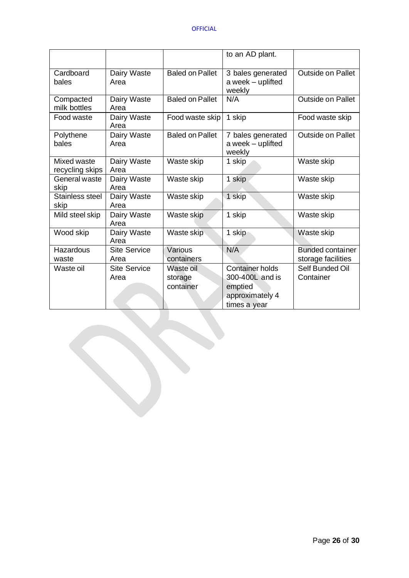|                                |                             |                                   | to an AD plant.                                                                         |                                               |
|--------------------------------|-----------------------------|-----------------------------------|-----------------------------------------------------------------------------------------|-----------------------------------------------|
| Cardboard<br>bales             | Dairy Waste<br>Area         | <b>Baled on Pallet</b>            | 3 bales generated<br>a week - uplifted<br>weekly                                        | <b>Outside on Pallet</b>                      |
| Compacted<br>milk bottles      | Dairy Waste<br>Area         | <b>Baled on Pallet</b>            | N/A                                                                                     | <b>Outside on Pallet</b>                      |
| Food waste                     | Dairy Waste<br>Area         | Food waste skip                   | 1 skip                                                                                  | Food waste skip                               |
| Polythene<br>bales             | Dairy Waste<br>Area         | <b>Baled on Pallet</b>            | 7 bales generated<br>a week - uplifted<br>weekly                                        | <b>Outside on Pallet</b>                      |
| Mixed waste<br>recycling skips | Dairy Waste<br>Area         | Waste skip                        | 1 skip                                                                                  | Waste skip                                    |
| General waste<br>skip          | Dairy Waste<br>Area         | Waste skip                        | 1 skip                                                                                  | Waste skip                                    |
| Stainless steel<br>skip        | Dairy Waste<br>Area         | Waste skip                        | 1 skip                                                                                  | Waste skip                                    |
| Mild steel skip                | Dairy Waste<br>Area         | Waste skip                        | 1 skip                                                                                  | Waste skip                                    |
| Wood skip                      | Dairy Waste<br>Area         | Waste skip                        | 1 skip                                                                                  | Waste skip                                    |
| Hazardous<br>waste             | <b>Site Service</b><br>Area | Various<br>containers             | N/A                                                                                     | <b>Bunded container</b><br>storage facilities |
| Waste oil                      | <b>Site Service</b><br>Area | Waste oil<br>storage<br>container | <b>Container holds</b><br>300-400L and is<br>emptied<br>approximately 4<br>times a year | Self Bunded Oil<br>Container                  |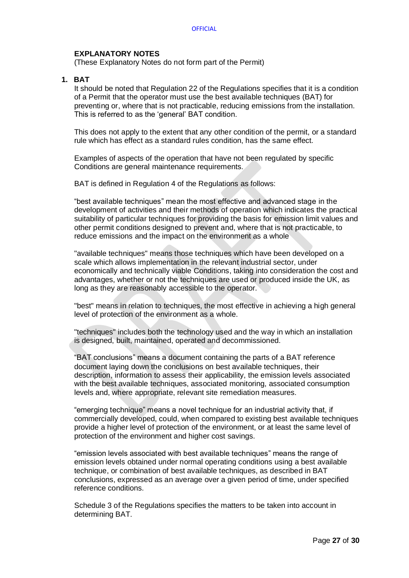### **EXPLANATORY NOTES**

(These Explanatory Notes do not form part of the Permit)

### **1. BAT**

It should be noted that Regulation 22 of the Regulations specifies that it is a condition of a Permit that the operator must use the best available techniques (BAT) for preventing or, where that is not practicable, reducing emissions from the installation. This is referred to as the 'general' BAT condition.

This does not apply to the extent that any other condition of the permit, or a standard rule which has effect as a standard rules condition, has the same effect.

Examples of aspects of the operation that have not been regulated by specific Conditions are general maintenance requirements.

BAT is defined in Regulation 4 of the Regulations as follows:

"best available techniques" mean the most effective and advanced stage in the development of activities and their methods of operation which indicates the practical suitability of particular techniques for providing the basis for emission limit values and other permit conditions designed to prevent and, where that is not practicable, to reduce emissions and the impact on the environment as a whole

"available techniques" means those techniques which have been developed on a scale which allows implementation in the relevant industrial sector, under economically and technically viable Conditions, taking into consideration the cost and advantages, whether or not the techniques are used or produced inside the UK, as long as they are reasonably accessible to the operator.

"best" means in relation to techniques, the most effective in achieving a high general level of protection of the environment as a whole.

"techniques" includes both the technology used and the way in which an installation is designed, built, maintained, operated and decommissioned.

"BAT conclusions" means a document containing the parts of a BAT reference document laying down the conclusions on best available techniques, their description, information to assess their applicability, the emission levels associated with the best available techniques, associated monitoring, associated consumption levels and, where appropriate, relevant site remediation measures.

"emerging technique" means a novel technique for an industrial activity that, if commercially developed, could, when compared to existing best available techniques provide a higher level of protection of the environment, or at least the same level of protection of the environment and higher cost savings.

"emission levels associated with best available techniques" means the range of emission levels obtained under normal operating conditions using a best available technique, or combination of best available techniques, as described in BAT conclusions, expressed as an average over a given period of time, under specified reference conditions.

Schedule 3 of the Regulations specifies the matters to be taken into account in determining BAT.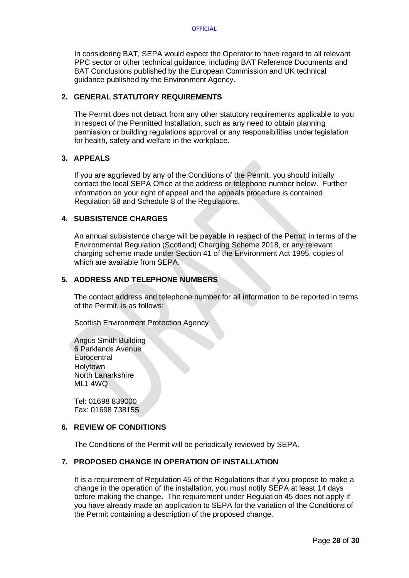In considering BAT, SEPA would expect the Operator to have regard to all relevant PPC sector or other technical guidance, including BAT Reference Documents and BAT Conclusions published by the European Commission and UK technical guidance published by the Environment Agency.

### **2. GENERAL STATUTORY REQUIREMENTS**

The Permit does not detract from any other statutory requirements applicable to you in respect of the Permitted Installation, such as any need to obtain planning permission or building regulations approval or any responsibilities under legislation for health, safety and welfare in the workplace.

### **3. APPEALS**

If you are aggrieved by any of the Conditions of the Permit, you should initially contact the local SEPA Office at the address or telephone number below. Further information on your right of appeal and the appeals procedure is contained Regulation 58 and Schedule 8 of the Regulations.

### **4. SUBSISTENCE CHARGES**

An annual subsistence charge will be payable in respect of the Permit in terms of the Environmental Regulation (Scotland) Charging Scheme 2018, or any relevant charging scheme made under Section 41 of the Environment Act 1995, copies of which are available from **SEPA** 

# **5. ADDRESS AND TELEPHONE NUMBERS**

The contact address and telephone number for all information to be reported in terms of the Permit, is as follows:

Scottish Environment Protection Agency

Angus Smith Building 6 Parklands Avenue **Eurocentral Holytown** North Lanarkshire ML1 4WQ

Tel: 01698 839000 Fax: 01698 738155

### **6. REVIEW OF CONDITIONS**

The Conditions of the Permit will be periodically reviewed by SEPA.

## **7. PROPOSED CHANGE IN OPERATION OF INSTALLATION**

It is a requirement of Regulation 45 of the Regulations that if you propose to make a change in the operation of the installation, you must notify SEPA at least 14 days before making the change. The requirement under Regulation 45 does not apply if you have already made an application to SEPA for the variation of the Conditions of the Permit containing a description of the proposed change.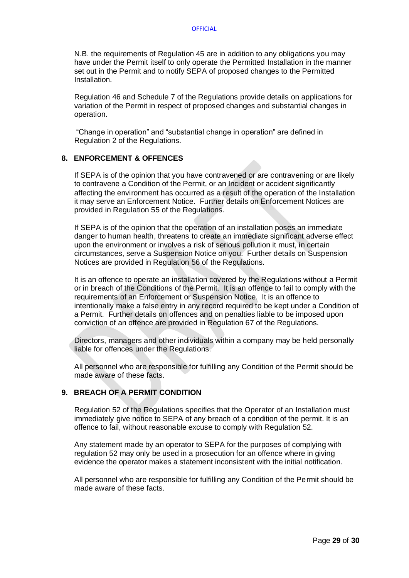N.B. the requirements of Regulation 45 are in addition to any obligations you may have under the Permit itself to only operate the Permitted Installation in the manner set out in the Permit and to notify SEPA of proposed changes to the Permitted Installation.

Regulation 46 and Schedule 7 of the Regulations provide details on applications for variation of the Permit in respect of proposed changes and substantial changes in operation.

"Change in operation" and "substantial change in operation" are defined in Regulation 2 of the Regulations.

### **8. ENFORCEMENT & OFFENCES**

If SEPA is of the opinion that you have contravened or are contravening or are likely to contravene a Condition of the Permit, or an Incident or accident significantly affecting the environment has occurred as a result of the operation of the Installation it may serve an Enforcement Notice. Further details on Enforcement Notices are provided in Regulation 55 of the Regulations.

If SEPA is of the opinion that the operation of an installation poses an immediate danger to human health, threatens to create an immediate significant adverse effect upon the environment or involves a risk of serious pollution it must, in certain circumstances, serve a Suspension Notice on you. Further details on Suspension Notices are provided in Regulation 56 of the Regulations.

It is an offence to operate an installation covered by the Regulations without a Permit or in breach of the Conditions of the Permit. It is an offence to fail to comply with the requirements of an Enforcement or Suspension Notice. It is an offence to intentionally make a false entry in any record required to be kept under a Condition of a Permit. Further details on offences and on penalties liable to be imposed upon conviction of an offence are provided in Regulation 67 of the Regulations.

Directors, managers and other individuals within a company may be held personally liable for offences under the Regulations.

All personnel who are responsible for fulfilling any Condition of the Permit should be made aware of these facts.

### **9. BREACH OF A PERMIT CONDITION**

Regulation 52 of the Regulations specifies that the Operator of an Installation must immediately give notice to SEPA of any breach of a condition of the permit. It is an offence to fail, without reasonable excuse to comply with Regulation 52.

Any statement made by an operator to SEPA for the purposes of complying with regulation 52 may only be used in a prosecution for an offence where in giving evidence the operator makes a statement inconsistent with the initial notification.

All personnel who are responsible for fulfilling any Condition of the Permit should be made aware of these facts.